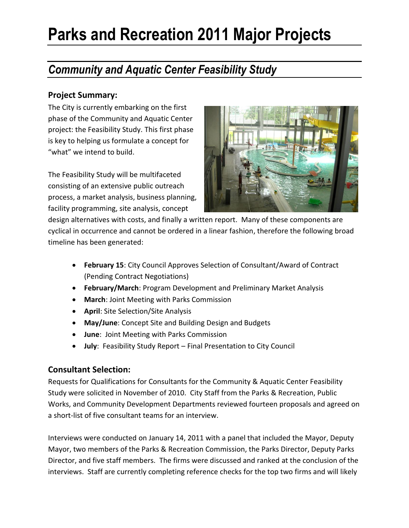### *Community and Aquatic Center Feasibility Study*

### **Project Summary:**

The City is currently embarking on the first phase of the Community and Aquatic Center project: the Feasibility Study. This first phase is key to helping us formulate a concept for "what" we intend to build.

The Feasibility Study will be multifaceted consisting of an extensive public outreach process, a market analysis, business planning, facility programming, site analysis, concept



design alternatives with costs, and finally a written report. Many of these components are cyclical in occurrence and cannot be ordered in a linear fashion, therefore the following broad timeline has been generated:

- **February 15**: City Council Approves Selection of Consultant/Award of Contract (Pending Contract Negotiations)
- **February/March**: Program Development and Preliminary Market Analysis
- **March**: Joint Meeting with Parks Commission
- **April**: Site Selection/Site Analysis
- **May/June**: Concept Site and Building Design and Budgets
- **June**: Joint Meeting with Parks Commission
- **July**: Feasibility Study Report Final Presentation to City Council

### **Consultant Selection:**

Requests for Qualifications for Consultants for the Community & Aquatic Center Feasibility Study were solicited in November of 2010. City Staff from the Parks & Recreation, Public Works, and Community Development Departments reviewed fourteen proposals and agreed on a short-list of five consultant teams for an interview.

Interviews were conducted on January 14, 2011 with a panel that included the Mayor, Deputy Mayor, two members of the Parks & Recreation Commission, the Parks Director, Deputy Parks Director, and five staff members. The firms were discussed and ranked at the conclusion of the interviews. Staff are currently completing reference checks for the top two firms and will likely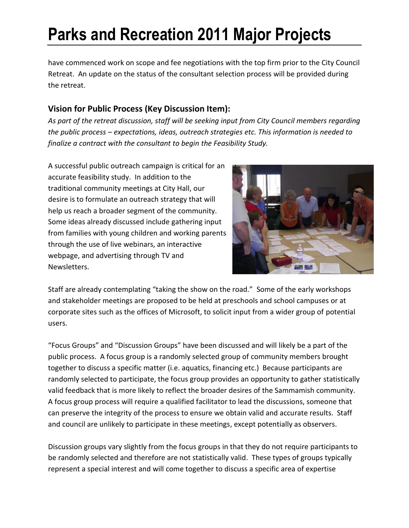have commenced work on scope and fee negotiations with the top firm prior to the City Council Retreat. An update on the status of the consultant selection process will be provided during the retreat.

### **Vision for Public Process (Key Discussion Item):**

*As part of the retreat discussion, staff will be seeking input from City Council members regarding the public process – expectations, ideas, outreach strategies etc. This information is needed to finalize a contract with the consultant to begin the Feasibility Study.* 

A successful public outreach campaign is critical for an accurate feasibility study. In addition to the traditional community meetings at City Hall, our desire is to formulate an outreach strategy that will help us reach a broader segment of the community. Some ideas already discussed include gathering input from families with young children and working parents through the use of live webinars, an interactive webpage, and advertising through TV and Newsletters.



Staff are already contemplating "taking the show on the road." Some of the early workshops and stakeholder meetings are proposed to be held at preschools and school campuses or at corporate sites such as the offices of Microsoft, to solicit input from a wider group of potential users.

"Focus Groups" and "Discussion Groups" have been discussed and will likely be a part of the public process. A focus group is a randomly selected group of community members brought together to discuss a specific matter (i.e. aquatics, financing etc.) Because participants are randomly selected to participate, the focus group provides an opportunity to gather statistically valid feedback that is more likely to reflect the broader desires of the Sammamish community. A focus group process will require a qualified facilitator to lead the discussions, someone that can preserve the integrity of the process to ensure we obtain valid and accurate results. Staff and council are unlikely to participate in these meetings, except potentially as observers.

Discussion groups vary slightly from the focus groups in that they do not require participants to be randomly selected and therefore are not statistically valid. These types of groups typically represent a special interest and will come together to discuss a specific area of expertise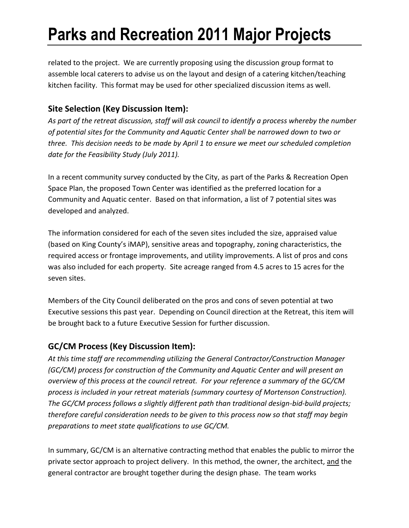related to the project. We are currently proposing using the discussion group format to assemble local caterers to advise us on the layout and design of a catering kitchen/teaching kitchen facility. This format may be used for other specialized discussion items as well.

### **Site Selection (Key Discussion Item):**

*As part of the retreat discussion, staff will ask council to identify a process whereby the number of potential sites for the Community and Aquatic Center shall be narrowed down to two or three. This decision needs to be made by April 1 to ensure we meet our scheduled completion date for the Feasibility Study (July 2011).*

In a recent community survey conducted by the City, as part of the Parks & Recreation Open Space Plan, the proposed Town Center was identified as the preferred location for a Community and Aquatic center. Based on that information, a list of 7 potential sites was developed and analyzed.

The information considered for each of the seven sites included the size, appraised value (based on King County's iMAP), sensitive areas and topography, zoning characteristics, the required access or frontage improvements, and utility improvements. A list of pros and cons was also included for each property. Site acreage ranged from 4.5 acres to 15 acres for the seven sites.

Members of the City Council deliberated on the pros and cons of seven potential at two Executive sessions this past year. Depending on Council direction at the Retreat, this item will be brought back to a future Executive Session for further discussion.

### **GC/CM Process (Key Discussion Item):**

*At this time staff are recommending utilizing the General Contractor/Construction Manager (GC/CM) process for construction of the Community and Aquatic Center and will present an overview of this process at the council retreat. For your reference a summary of the GC/CM process is included in your retreat materials (summary courtesy of Mortenson Construction). The GC/CM process follows a slightly different path than traditional design-bid-build projects; therefore careful consideration needs to be given to this process now so that staff may begin preparations to meet state qualifications to use GC/CM.*

In summary, GC/CM is an alternative contracting method that enables the public to mirror the private sector approach to project delivery. In this method, the owner, the architect, and the general contractor are brought together during the design phase. The team works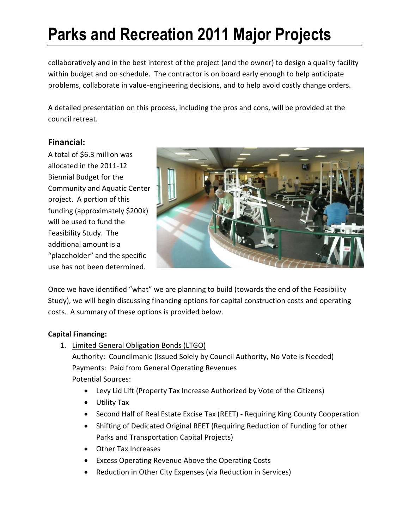collaboratively and in the best interest of the project (and the owner) to design a quality facility within budget and on schedule. The contractor is on board early enough to help anticipate problems, collaborate in value-engineering decisions, and to help avoid costly change orders.

A detailed presentation on this process, including the pros and cons, will be provided at the council retreat.

### **Financial:**

A total of \$6.3 million was allocated in the 2011-12 Biennial Budget for the Community and Aquatic Center project. A portion of this funding (approximately \$200k) will be used to fund the Feasibility Study. The additional amount is a "placeholder" and the specific use has not been determined.



Once we have identified "what" we are planning to build (towards the end of the Feasibility Study), we will begin discussing financing options for capital construction costs and operating costs. A summary of these options is provided below.

#### **Capital Financing:**

1. Limited General Obligation Bonds (LTGO)

Authority: Councilmanic (Issued Solely by Council Authority, No Vote is Needed) Payments: Paid from General Operating Revenues Potential Sources:

- Levy Lid Lift (Property Tax Increase Authorized by Vote of the Citizens)
- Utility Tax
- Second Half of Real Estate Excise Tax (REET) Requiring King County Cooperation
- Shifting of Dedicated Original REET (Requiring Reduction of Funding for other Parks and Transportation Capital Projects)
- Other Tax Increases
- Excess Operating Revenue Above the Operating Costs
- Reduction in Other City Expenses (via Reduction in Services)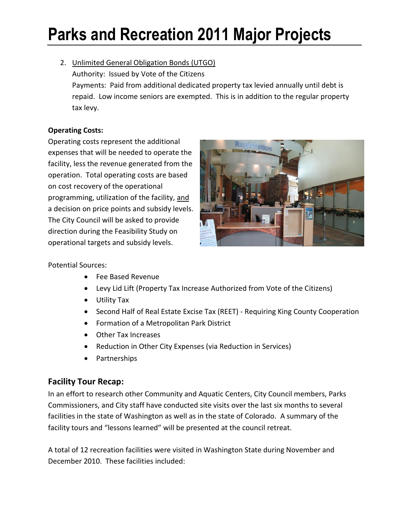2. Unlimited General Obligation Bonds (UTGO) Authority: Issued by Vote of the Citizens Payments: Paid from additional dedicated property tax levied annually until debt is repaid. Low income seniors are exempted. This is in addition to the regular property tax levy.

#### **Operating Costs:**

Operating costs represent the additional expenses that will be needed to operate the facility, less the revenue generated from the operation. Total operating costs are based on cost recovery of the operational programming, utilization of the facility, and a decision on price points and subsidy levels. The City Council will be asked to provide direction during the Feasibility Study on operational targets and subsidy levels.



#### Potential Sources:

- Fee Based Revenue
- Levy Lid Lift (Property Tax Increase Authorized from Vote of the Citizens)
- Utility Tax
- Second Half of Real Estate Excise Tax (REET) Requiring King County Cooperation
- Formation of a Metropolitan Park District
- Other Tax Increases
- Reduction in Other City Expenses (via Reduction in Services)
- Partnerships

### **Facility Tour Recap:**

In an effort to research other Community and Aquatic Centers, City Council members, Parks Commissioners, and City staff have conducted site visits over the last six months to several facilities in the state of Washington as well as in the state of Colorado. A summary of the facility tours and "lessons learned" will be presented at the council retreat.

A total of 12 recreation facilities were visited in Washington State during November and December 2010. These facilities included: